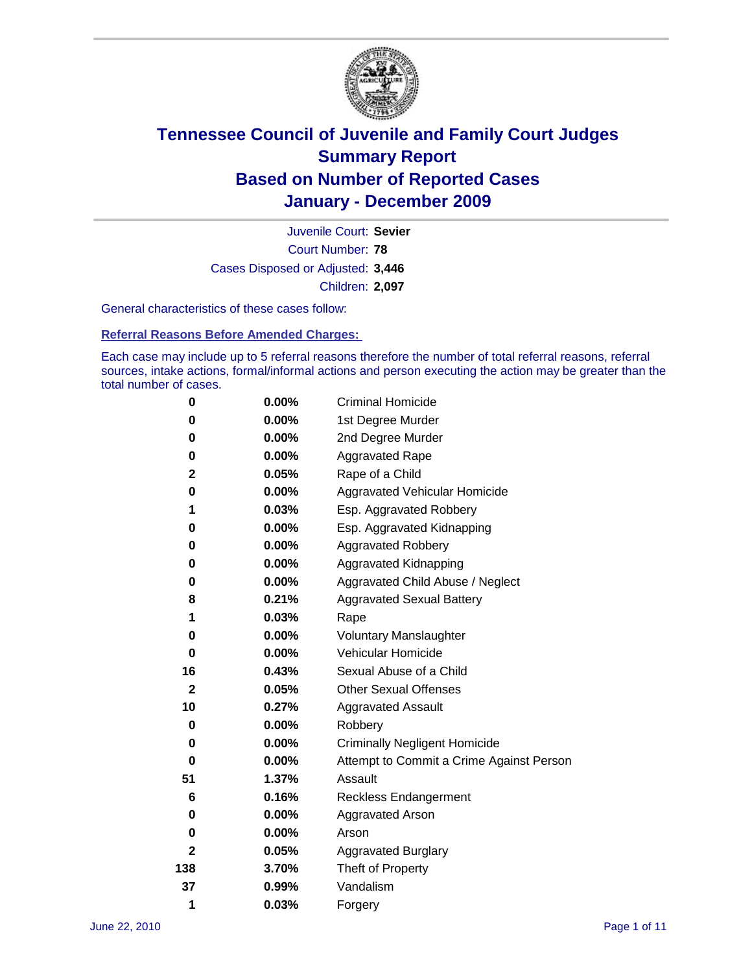

Court Number: **78** Juvenile Court: **Sevier** Cases Disposed or Adjusted: **3,446** Children: **2,097**

General characteristics of these cases follow:

**Referral Reasons Before Amended Charges:** 

Each case may include up to 5 referral reasons therefore the number of total referral reasons, referral sources, intake actions, formal/informal actions and person executing the action may be greater than the total number of cases.

| 0                | $0.00\%$ | <b>Criminal Homicide</b>                 |  |  |
|------------------|----------|------------------------------------------|--|--|
| 0                | 0.00%    | 1st Degree Murder                        |  |  |
| 0                | $0.00\%$ | 2nd Degree Murder                        |  |  |
| 0                | $0.00\%$ | <b>Aggravated Rape</b>                   |  |  |
| 2                | 0.05%    | Rape of a Child                          |  |  |
| 0                | 0.00%    | Aggravated Vehicular Homicide            |  |  |
| 1                | 0.03%    | Esp. Aggravated Robbery                  |  |  |
| 0                | $0.00\%$ | Esp. Aggravated Kidnapping               |  |  |
| 0                | $0.00\%$ | <b>Aggravated Robbery</b>                |  |  |
| 0                | $0.00\%$ | Aggravated Kidnapping                    |  |  |
| 0                | 0.00%    | Aggravated Child Abuse / Neglect         |  |  |
| 8                | 0.21%    | <b>Aggravated Sexual Battery</b>         |  |  |
| 1                | 0.03%    | Rape                                     |  |  |
| 0                | $0.00\%$ | <b>Voluntary Manslaughter</b>            |  |  |
| 0                | 0.00%    | Vehicular Homicide                       |  |  |
| 16               | 0.43%    | Sexual Abuse of a Child                  |  |  |
| $\boldsymbol{2}$ | 0.05%    | <b>Other Sexual Offenses</b>             |  |  |
| 10               | 0.27%    | <b>Aggravated Assault</b>                |  |  |
| 0                | $0.00\%$ | Robbery                                  |  |  |
| 0                | 0.00%    | <b>Criminally Negligent Homicide</b>     |  |  |
| 0                | $0.00\%$ | Attempt to Commit a Crime Against Person |  |  |
| 51               | 1.37%    | Assault                                  |  |  |
| 6                | 0.16%    | <b>Reckless Endangerment</b>             |  |  |
| 0                | 0.00%    | <b>Aggravated Arson</b>                  |  |  |
| 0                | 0.00%    | Arson                                    |  |  |
| $\mathbf{2}$     | 0.05%    | <b>Aggravated Burglary</b>               |  |  |
| 138              | 3.70%    | Theft of Property                        |  |  |
| 37               | 0.99%    | Vandalism                                |  |  |
| 1                | 0.03%    | Forgery                                  |  |  |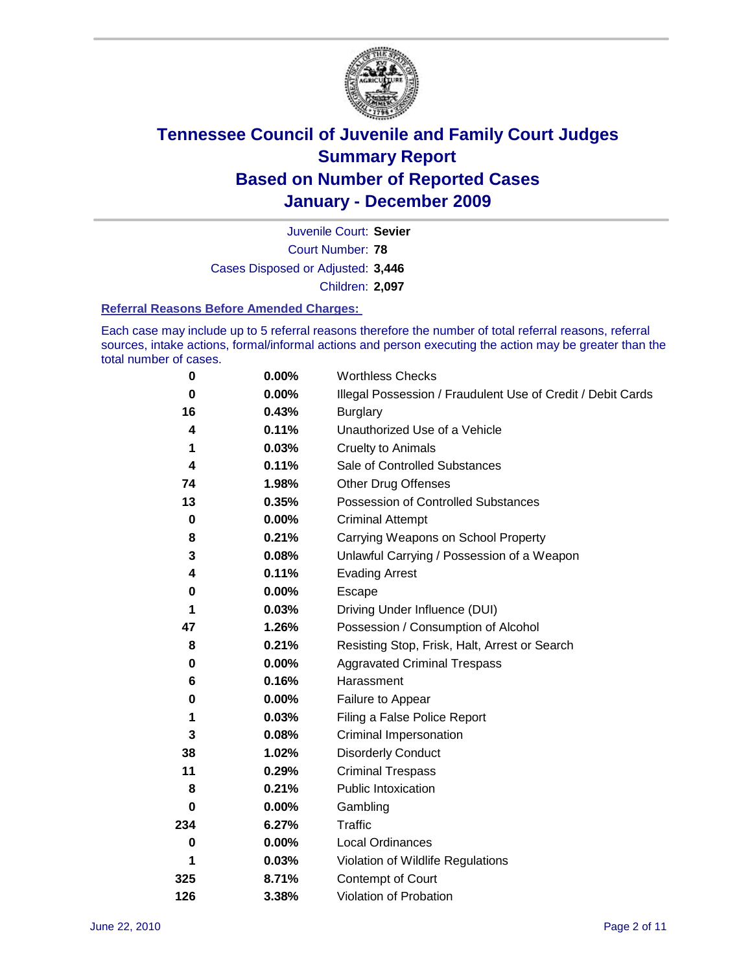

Court Number: **78** Juvenile Court: **Sevier** Cases Disposed or Adjusted: **3,446** Children: **2,097**

#### **Referral Reasons Before Amended Charges:**

Each case may include up to 5 referral reasons therefore the number of total referral reasons, referral sources, intake actions, formal/informal actions and person executing the action may be greater than the total number of cases.

| $\pmb{0}$   | 0.00%    | <b>Worthless Checks</b>                                     |
|-------------|----------|-------------------------------------------------------------|
| 0           | 0.00%    | Illegal Possession / Fraudulent Use of Credit / Debit Cards |
| 16          | 0.43%    | <b>Burglary</b>                                             |
| 4           | 0.11%    | Unauthorized Use of a Vehicle                               |
| 1           | 0.03%    | <b>Cruelty to Animals</b>                                   |
| 4           | 0.11%    | Sale of Controlled Substances                               |
| 74          | 1.98%    | <b>Other Drug Offenses</b>                                  |
| 13          | 0.35%    | Possession of Controlled Substances                         |
| $\mathbf 0$ | $0.00\%$ | <b>Criminal Attempt</b>                                     |
| 8           | 0.21%    | Carrying Weapons on School Property                         |
| 3           | 0.08%    | Unlawful Carrying / Possession of a Weapon                  |
| 4           | 0.11%    | <b>Evading Arrest</b>                                       |
| 0           | 0.00%    | Escape                                                      |
| 1           | 0.03%    | Driving Under Influence (DUI)                               |
| 47          | 1.26%    | Possession / Consumption of Alcohol                         |
| 8           | 0.21%    | Resisting Stop, Frisk, Halt, Arrest or Search               |
| 0           | $0.00\%$ | <b>Aggravated Criminal Trespass</b>                         |
| 6           | 0.16%    | Harassment                                                  |
| 0           | 0.00%    | Failure to Appear                                           |
| 1           | 0.03%    | Filing a False Police Report                                |
| 3           | 0.08%    | Criminal Impersonation                                      |
| 38          | 1.02%    | <b>Disorderly Conduct</b>                                   |
| 11          | 0.29%    | <b>Criminal Trespass</b>                                    |
| 8           | 0.21%    | <b>Public Intoxication</b>                                  |
| 0           | $0.00\%$ | Gambling                                                    |
| 234         | 6.27%    | <b>Traffic</b>                                              |
| 0           | $0.00\%$ | Local Ordinances                                            |
| 1           | 0.03%    | Violation of Wildlife Regulations                           |
| 325         | 8.71%    | Contempt of Court                                           |
| 126         | 3.38%    | Violation of Probation                                      |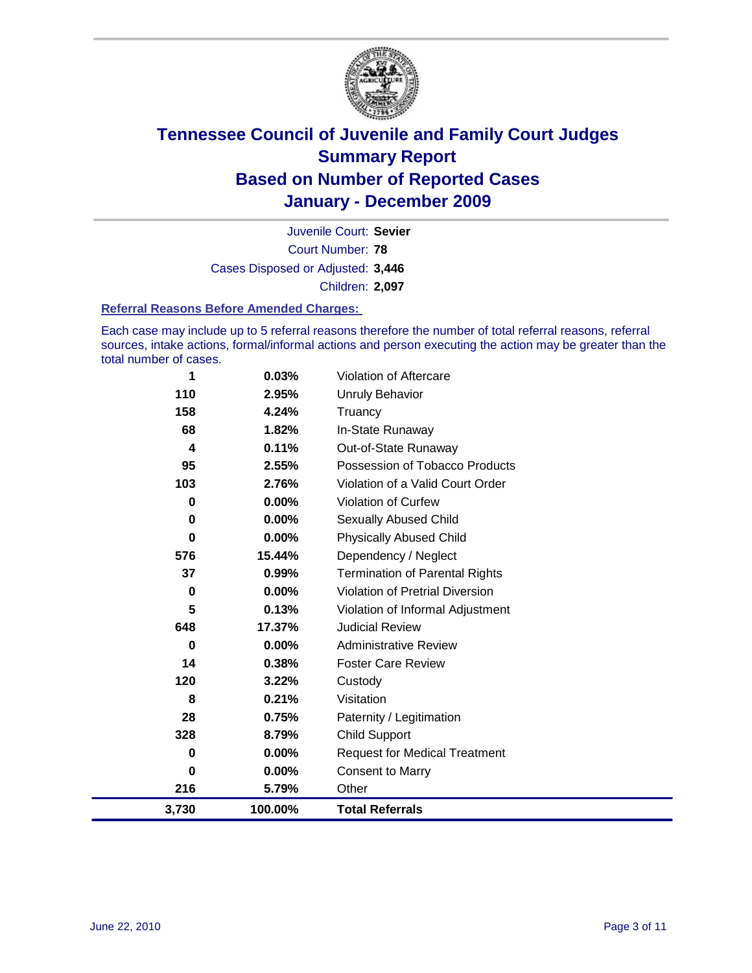

Court Number: **78** Juvenile Court: **Sevier** Cases Disposed or Adjusted: **3,446** Children: **2,097**

#### **Referral Reasons Before Amended Charges:**

Each case may include up to 5 referral reasons therefore the number of total referral reasons, referral sources, intake actions, formal/informal actions and person executing the action may be greater than the total number of cases.

| 1     | 0.03%    | Violation of Aftercare                 |
|-------|----------|----------------------------------------|
| 110   | 2.95%    | <b>Unruly Behavior</b>                 |
| 158   | 4.24%    | Truancy                                |
| 68    | 1.82%    | In-State Runaway                       |
| 4     | 0.11%    | Out-of-State Runaway                   |
| 95    | 2.55%    | Possession of Tobacco Products         |
| 103   | 2.76%    | Violation of a Valid Court Order       |
| 0     | 0.00%    | <b>Violation of Curfew</b>             |
| 0     | $0.00\%$ | Sexually Abused Child                  |
| 0     | 0.00%    | <b>Physically Abused Child</b>         |
| 576   | 15.44%   | Dependency / Neglect                   |
| 37    | 0.99%    | <b>Termination of Parental Rights</b>  |
| 0     | 0.00%    | <b>Violation of Pretrial Diversion</b> |
| 5     | 0.13%    | Violation of Informal Adjustment       |
| 648   | 17.37%   | <b>Judicial Review</b>                 |
| 0     | $0.00\%$ | <b>Administrative Review</b>           |
| 14    | 0.38%    | <b>Foster Care Review</b>              |
| 120   | 3.22%    | Custody                                |
| 8     | 0.21%    | Visitation                             |
| 28    | 0.75%    | Paternity / Legitimation               |
| 328   | 8.79%    | <b>Child Support</b>                   |
| 0     | $0.00\%$ | <b>Request for Medical Treatment</b>   |
| 0     | 0.00%    | <b>Consent to Marry</b>                |
| 216   | 5.79%    | Other                                  |
| 3,730 | 100.00%  | <b>Total Referrals</b>                 |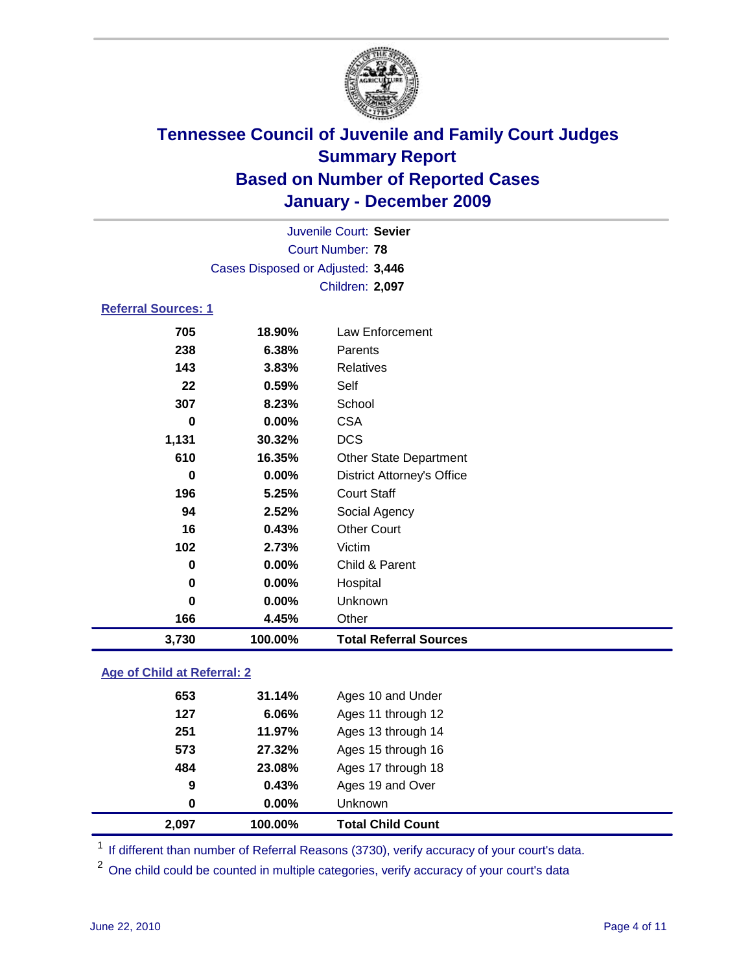

|                                   | Juvenile Court: Sevier  |                                   |  |
|-----------------------------------|-------------------------|-----------------------------------|--|
|                                   | <b>Court Number: 78</b> |                                   |  |
| Cases Disposed or Adjusted: 3,446 |                         |                                   |  |
|                                   |                         | Children: 2,097                   |  |
| <b>Referral Sources: 1</b>        |                         |                                   |  |
| 705                               | 18.90%                  | <b>Law Enforcement</b>            |  |
| 238                               | 6.38%                   | Parents                           |  |
| 143                               | 3.83%                   | <b>Relatives</b>                  |  |
| 22                                | 0.59%                   | Self                              |  |
| 307                               | 8.23%                   | School                            |  |
| $\bf{0}$                          | 0.00%                   | <b>CSA</b>                        |  |
| 1,131                             | 30.32%                  | <b>DCS</b>                        |  |
| 610                               | 16.35%                  | Other State Department            |  |
| $\bf{0}$                          | $0.00\%$                | <b>District Attorney's Office</b> |  |
| 196                               | 5.25%                   | <b>Court Staff</b>                |  |
| 94                                | 2.52%                   | Social Agency                     |  |
| 16                                | 0.43%                   | <b>Other Court</b>                |  |
| 102                               | 2.73%                   | Victim                            |  |
| 0                                 | $0.00\%$                | Child & Parent                    |  |
| 0                                 | 0.00%                   | Hospital                          |  |
| $\bf{0}$                          | 0.00%                   | Unknown                           |  |
| 166                               | 4.45%                   | Other                             |  |
| 3,730                             | 100.00%                 | <b>Total Referral Sources</b>     |  |
|                                   |                         |                                   |  |

### **Age of Child at Referral: 2**

| 2,097 | 100.00%  | <b>Total Child Count</b> |  |
|-------|----------|--------------------------|--|
| 0     | $0.00\%$ | <b>Unknown</b>           |  |
| 9     | 0.43%    | Ages 19 and Over         |  |
| 484   | 23.08%   | Ages 17 through 18       |  |
| 573   | 27.32%   | Ages 15 through 16       |  |
| 251   | 11.97%   | Ages 13 through 14       |  |
| 127   | 6.06%    | Ages 11 through 12       |  |
| 653   | 31.14%   | Ages 10 and Under        |  |
|       |          |                          |  |

<sup>1</sup> If different than number of Referral Reasons (3730), verify accuracy of your court's data.

<sup>2</sup> One child could be counted in multiple categories, verify accuracy of your court's data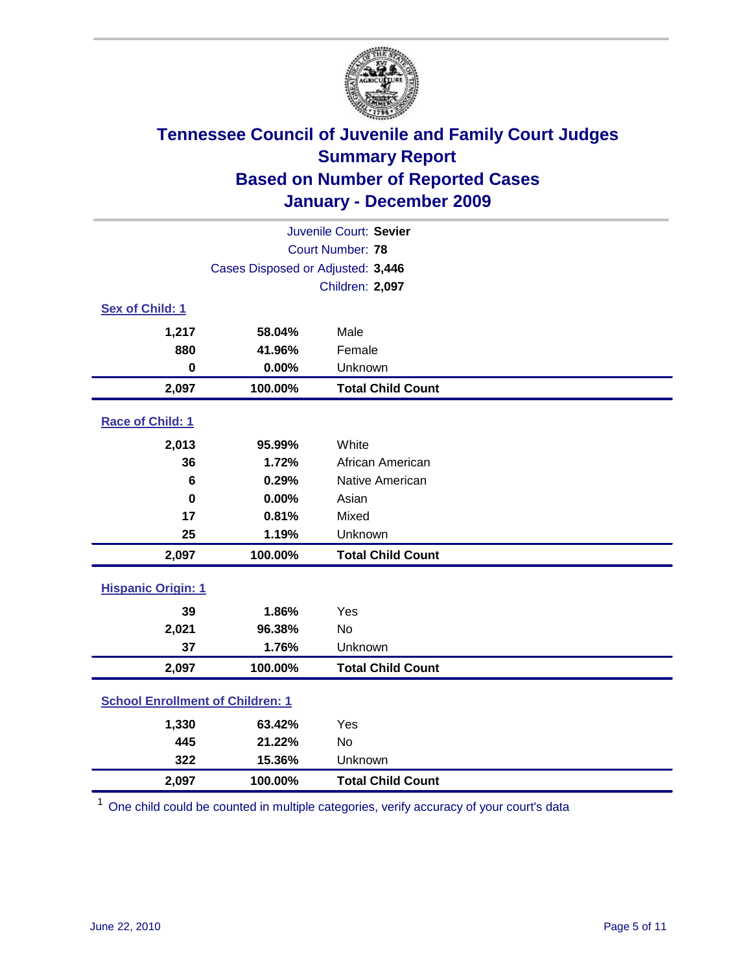

| Juvenile Court: Sevier                  |                                   |                          |  |  |
|-----------------------------------------|-----------------------------------|--------------------------|--|--|
|                                         | Court Number: 78                  |                          |  |  |
|                                         | Cases Disposed or Adjusted: 3,446 |                          |  |  |
|                                         |                                   | Children: 2,097          |  |  |
| Sex of Child: 1                         |                                   |                          |  |  |
| 1,217                                   | 58.04%                            | Male                     |  |  |
| 880                                     | 41.96%                            | Female                   |  |  |
| $\mathbf 0$                             | 0.00%                             | Unknown                  |  |  |
| 2,097                                   | 100.00%                           | <b>Total Child Count</b> |  |  |
| Race of Child: 1                        |                                   |                          |  |  |
| 2,013                                   | 95.99%                            | White                    |  |  |
| 36                                      | 1.72%                             | African American         |  |  |
| $6\phantom{1}6$                         | 0.29%                             | Native American          |  |  |
| $\bf{0}$                                | 0.00%                             | Asian                    |  |  |
| 17                                      | 0.81%                             | Mixed                    |  |  |
| 25                                      | 1.19%                             | Unknown                  |  |  |
| 2,097                                   | 100.00%                           | <b>Total Child Count</b> |  |  |
| <b>Hispanic Origin: 1</b>               |                                   |                          |  |  |
| 39                                      | 1.86%                             | Yes                      |  |  |
| 2,021                                   | 96.38%                            | No                       |  |  |
| 37                                      | 1.76%                             | Unknown                  |  |  |
| 2,097                                   | 100.00%                           | <b>Total Child Count</b> |  |  |
| <b>School Enrollment of Children: 1</b> |                                   |                          |  |  |
| 1,330                                   | 63.42%                            | Yes                      |  |  |
| 445                                     | 21.22%                            | No                       |  |  |
| 322                                     | 15.36%                            | Unknown                  |  |  |
| 2,097                                   | 100.00%                           | <b>Total Child Count</b> |  |  |

<sup>1</sup> One child could be counted in multiple categories, verify accuracy of your court's data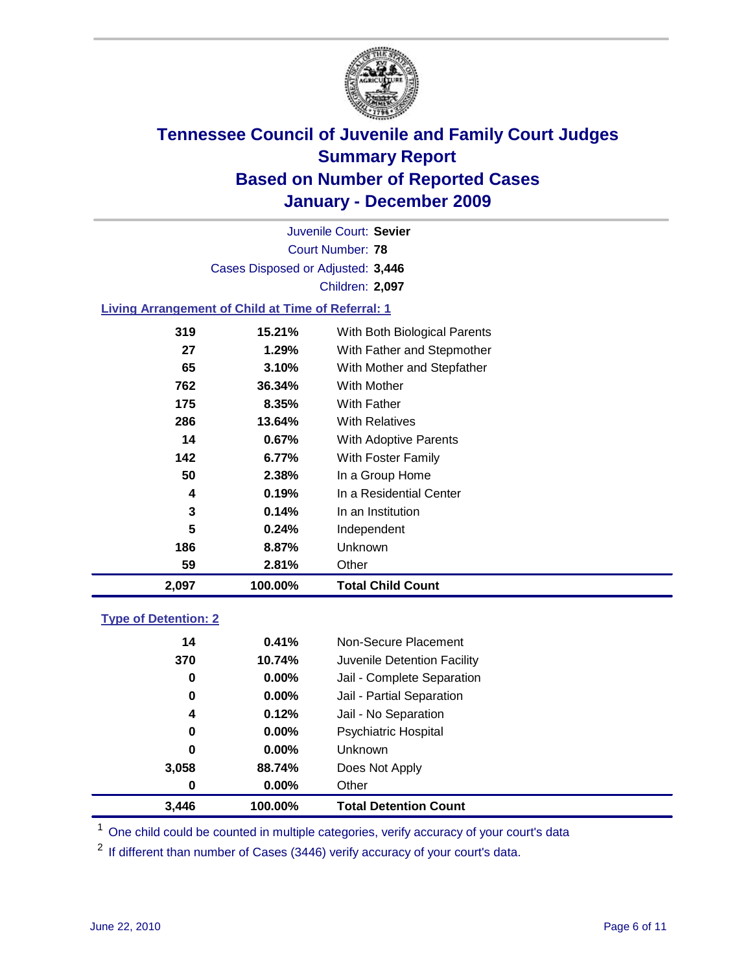

Court Number: **78** Juvenile Court: **Sevier** Cases Disposed or Adjusted: **3,446** Children: **2,097**

### **Living Arrangement of Child at Time of Referral: 1**

| 2,097 | 100.00% | <b>Total Child Count</b>     |
|-------|---------|------------------------------|
| 59    | 2.81%   | Other                        |
| 186   | 8.87%   | Unknown                      |
| 5     | 0.24%   | Independent                  |
| 3     | 0.14%   | In an Institution            |
| 4     | 0.19%   | In a Residential Center      |
| 50    | 2.38%   | In a Group Home              |
| 142   | 6.77%   | With Foster Family           |
| 14    | 0.67%   | With Adoptive Parents        |
| 286   | 13.64%  | <b>With Relatives</b>        |
| 175   | 8.35%   | With Father                  |
| 762   | 36.34%  | With Mother                  |
| 65    | 3.10%   | With Mother and Stepfather   |
| 27    | 1.29%   | With Father and Stepmother   |
| 319   | 15.21%  | With Both Biological Parents |

### **Type of Detention: 2**

| 3,446 | 100.00%  | <b>Total Detention Count</b> |  |
|-------|----------|------------------------------|--|
| 0     | $0.00\%$ | Other                        |  |
| 3,058 | 88.74%   | Does Not Apply               |  |
| 0     | $0.00\%$ | Unknown                      |  |
| 0     | $0.00\%$ | <b>Psychiatric Hospital</b>  |  |
| 4     | 0.12%    | Jail - No Separation         |  |
| 0     | $0.00\%$ | Jail - Partial Separation    |  |
| 0     | 0.00%    | Jail - Complete Separation   |  |
| 370   | 10.74%   | Juvenile Detention Facility  |  |
| 14    | 0.41%    | Non-Secure Placement         |  |
|       |          |                              |  |

<sup>1</sup> One child could be counted in multiple categories, verify accuracy of your court's data

<sup>2</sup> If different than number of Cases (3446) verify accuracy of your court's data.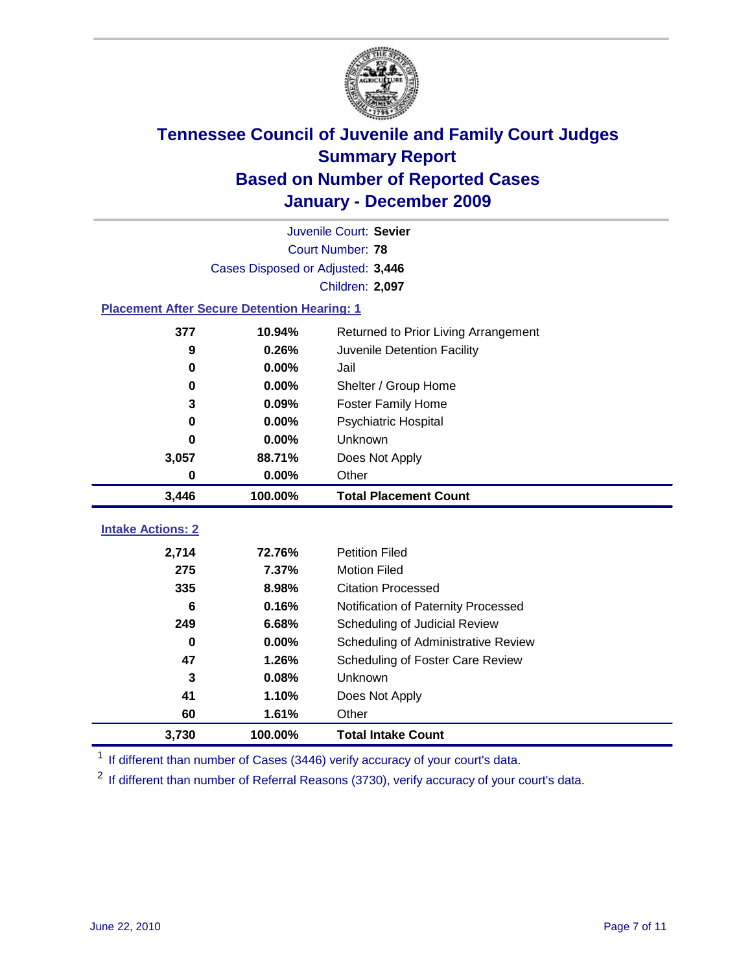

|                                                    | Juvenile Court: Sevier            |                                      |  |  |  |
|----------------------------------------------------|-----------------------------------|--------------------------------------|--|--|--|
|                                                    | Court Number: 78                  |                                      |  |  |  |
|                                                    | Cases Disposed or Adjusted: 3,446 |                                      |  |  |  |
|                                                    |                                   | Children: 2,097                      |  |  |  |
| <b>Placement After Secure Detention Hearing: 1</b> |                                   |                                      |  |  |  |
| 377                                                | 10.94%                            | Returned to Prior Living Arrangement |  |  |  |
| 9                                                  | 0.26%                             | Juvenile Detention Facility          |  |  |  |
| $\bf{0}$                                           | 0.00%                             | Jail                                 |  |  |  |
| $\bf{0}$                                           | 0.00%                             | Shelter / Group Home                 |  |  |  |
| 3                                                  | 0.09%                             | <b>Foster Family Home</b>            |  |  |  |
| 0                                                  | 0.00%                             | Psychiatric Hospital                 |  |  |  |
| 0                                                  | 0.00%                             | Unknown                              |  |  |  |
| 3,057                                              | 88.71%                            | Does Not Apply                       |  |  |  |
| $\bf{0}$                                           | $0.00\%$                          | Other                                |  |  |  |
| 3,446                                              | 100.00%                           | <b>Total Placement Count</b>         |  |  |  |
|                                                    |                                   |                                      |  |  |  |
| <b>Intake Actions: 2</b>                           |                                   |                                      |  |  |  |
| 2,714                                              | 72.76%                            | <b>Petition Filed</b>                |  |  |  |
| 275                                                | 7.37%                             | <b>Motion Filed</b>                  |  |  |  |
| 335                                                | 8.98%                             | <b>Citation Processed</b>            |  |  |  |
| 6                                                  | 0.16%                             | Notification of Paternity Processed  |  |  |  |
| 249                                                | 6.68%                             | Scheduling of Judicial Review        |  |  |  |
| $\bf{0}$                                           | 0.00%                             | Scheduling of Administrative Review  |  |  |  |
| 47                                                 | 1.26%                             | Scheduling of Foster Care Review     |  |  |  |
| 3                                                  | 0.08%                             | Unknown                              |  |  |  |
| 41                                                 | 1.10%                             | Does Not Apply                       |  |  |  |
| 60                                                 | 1.61%                             | Other                                |  |  |  |
| 3,730                                              | 100.00%                           | <b>Total Intake Count</b>            |  |  |  |

<sup>1</sup> If different than number of Cases (3446) verify accuracy of your court's data.

<sup>2</sup> If different than number of Referral Reasons (3730), verify accuracy of your court's data.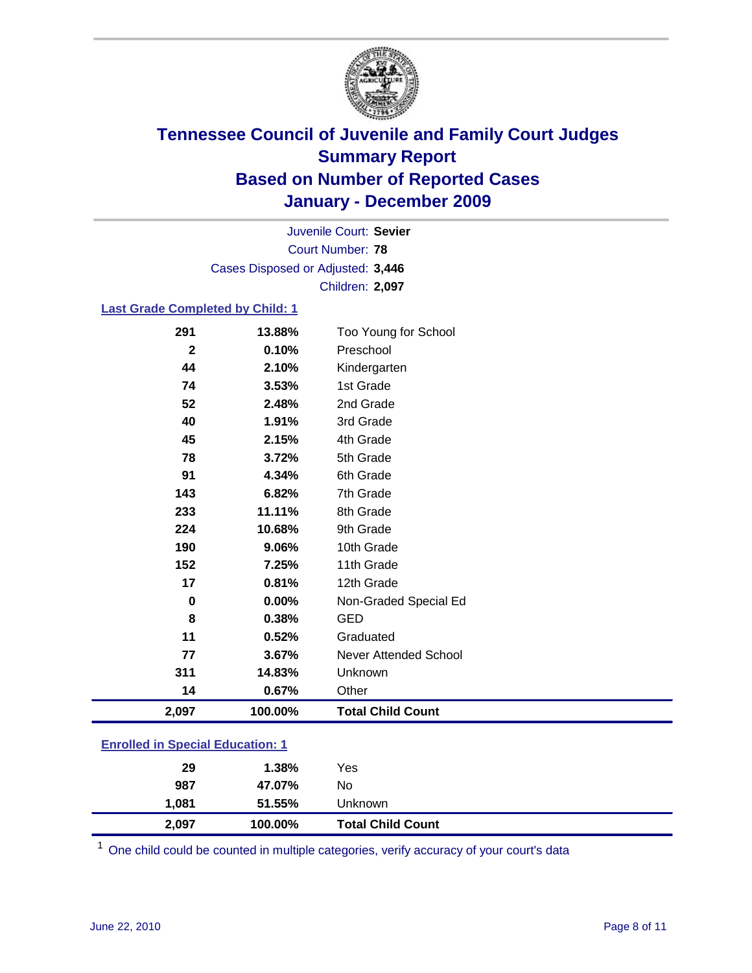

Court Number: **78** Juvenile Court: **Sevier** Cases Disposed or Adjusted: **3,446** Children: **2,097**

#### **Last Grade Completed by Child: 1**

| 2,097       | 100.00% | <b>Total Child Count</b>     |  |
|-------------|---------|------------------------------|--|
| 14          | 0.67%   | Other                        |  |
| 311         | 14.83%  | Unknown                      |  |
| 77          | 3.67%   | <b>Never Attended School</b> |  |
| 11          | 0.52%   | Graduated                    |  |
| 8           | 0.38%   | <b>GED</b>                   |  |
| 0           | 0.00%   | Non-Graded Special Ed        |  |
| 17          | 0.81%   | 12th Grade                   |  |
| 152         | 7.25%   | 11th Grade                   |  |
| 190         | 9.06%   | 10th Grade                   |  |
| 224         | 10.68%  | 9th Grade                    |  |
| 233         | 11.11%  | 8th Grade                    |  |
| 143         | 6.82%   | 7th Grade                    |  |
| 91          | 4.34%   | 6th Grade                    |  |
| 78          | 3.72%   | 5th Grade                    |  |
| 45          | 2.15%   | 4th Grade                    |  |
| 40          | 1.91%   | 3rd Grade                    |  |
| 52          | 2.48%   | 2nd Grade                    |  |
| 74          | 3.53%   | 1st Grade                    |  |
| 44          | 2.10%   | Kindergarten                 |  |
| $\mathbf 2$ | 0.10%   | Preschool                    |  |
| 291         | 13.88%  | Too Young for School         |  |

### **Enrolled in Special Education: 1**

| 2,097 | 100.00% | <b>Total Child Count</b> |  |
|-------|---------|--------------------------|--|
| 1,081 | 51.55%  | Unknown                  |  |
| 987   | 47.07%  | No                       |  |
| 29    | 1.38%   | Yes                      |  |
|       |         |                          |  |

One child could be counted in multiple categories, verify accuracy of your court's data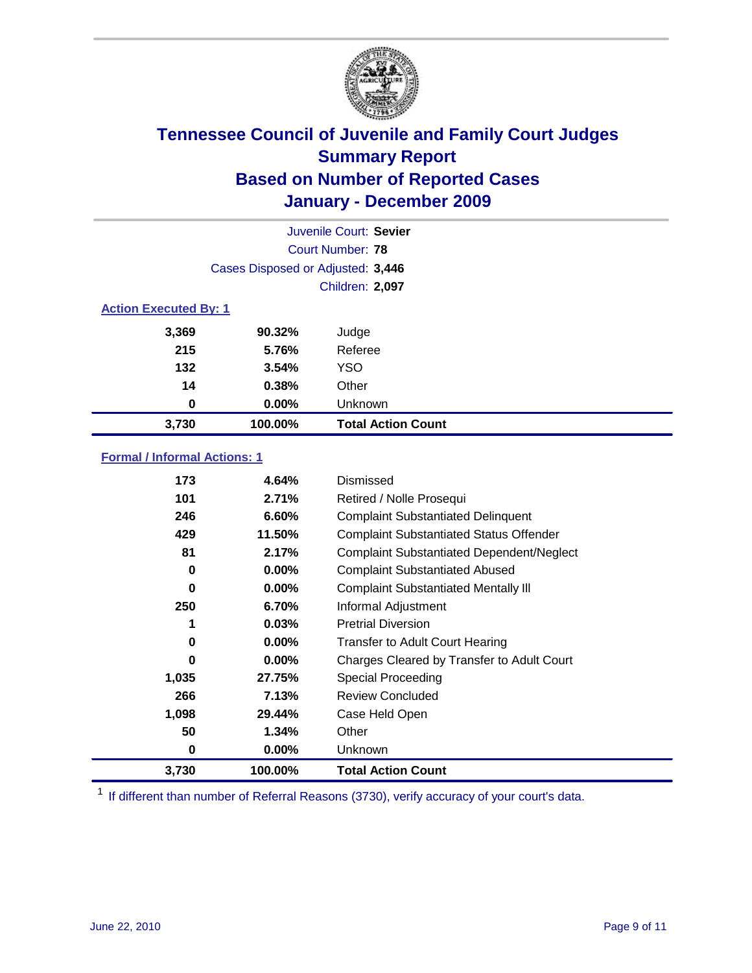

| Juvenile Court: Sevier       |                                   |                           |  |  |
|------------------------------|-----------------------------------|---------------------------|--|--|
|                              | Court Number: 78                  |                           |  |  |
|                              | Cases Disposed or Adjusted: 3,446 |                           |  |  |
|                              |                                   | Children: 2,097           |  |  |
| <b>Action Executed By: 1</b> |                                   |                           |  |  |
| 3,369                        | 90.32%                            | Judge                     |  |  |
| 215                          | 5.76%                             | Referee                   |  |  |
| 132                          | 3.54%                             | <b>YSO</b>                |  |  |
| 14                           | 0.38%                             | Other                     |  |  |
| 0                            | 0.00%                             | Unknown                   |  |  |
| 3,730                        | 100.00%                           | <b>Total Action Count</b> |  |  |

### **Formal / Informal Actions: 1**

| 173   | 4.64%    | Dismissed                                        |
|-------|----------|--------------------------------------------------|
| 101   | 2.71%    | Retired / Nolle Prosequi                         |
| 246   | 6.60%    | <b>Complaint Substantiated Delinquent</b>        |
| 429   | 11.50%   | <b>Complaint Substantiated Status Offender</b>   |
| 81    | 2.17%    | <b>Complaint Substantiated Dependent/Neglect</b> |
| 0     | $0.00\%$ | <b>Complaint Substantiated Abused</b>            |
| 0     | $0.00\%$ | <b>Complaint Substantiated Mentally III</b>      |
| 250   | 6.70%    | Informal Adjustment                              |
| 1     | 0.03%    | <b>Pretrial Diversion</b>                        |
| 0     | $0.00\%$ | <b>Transfer to Adult Court Hearing</b>           |
| 0     | $0.00\%$ | Charges Cleared by Transfer to Adult Court       |
| 1,035 | 27.75%   | Special Proceeding                               |
| 266   | 7.13%    | <b>Review Concluded</b>                          |
| 1,098 | 29.44%   | Case Held Open                                   |
| 50    | 1.34%    | Other                                            |
| 0     | $0.00\%$ | Unknown                                          |
| 3,730 | 100.00%  | Total Action Count                               |

<sup>1</sup> If different than number of Referral Reasons (3730), verify accuracy of your court's data.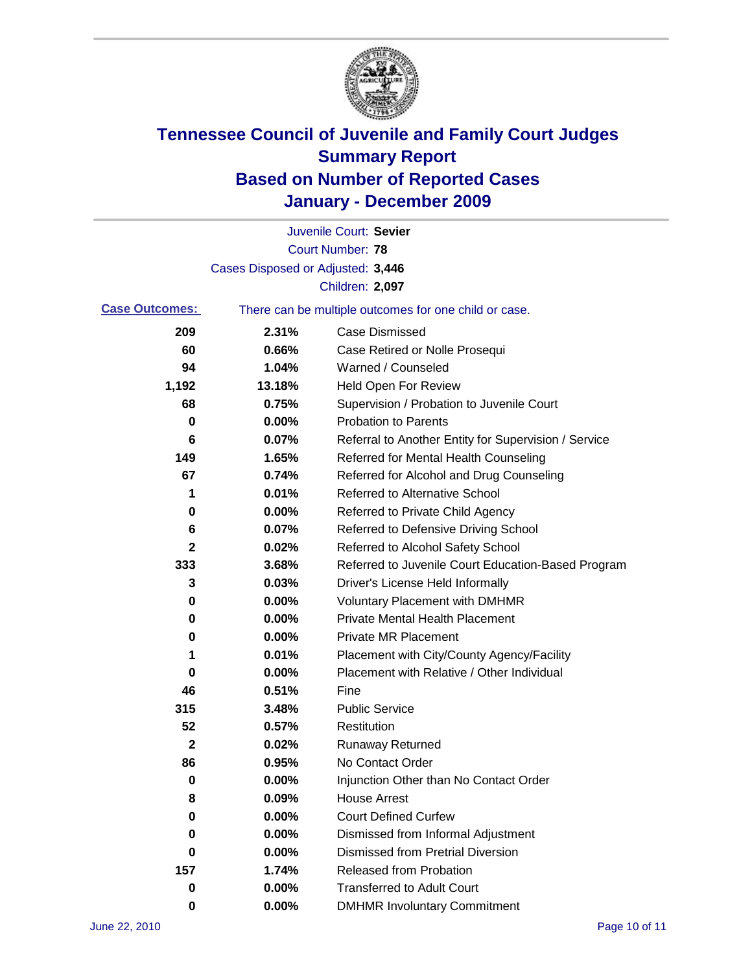

|                       |                                   | Juvenile Court: Sevier                                |
|-----------------------|-----------------------------------|-------------------------------------------------------|
|                       |                                   | <b>Court Number: 78</b>                               |
|                       | Cases Disposed or Adjusted: 3,446 |                                                       |
|                       |                                   | Children: 2,097                                       |
| <b>Case Outcomes:</b> |                                   | There can be multiple outcomes for one child or case. |
| 209                   | 2.31%                             | <b>Case Dismissed</b>                                 |
| 60                    | 0.66%                             | Case Retired or Nolle Prosequi                        |
| 94                    | 1.04%                             | Warned / Counseled                                    |
| 1,192                 | 13.18%                            | <b>Held Open For Review</b>                           |
| 68                    | 0.75%                             | Supervision / Probation to Juvenile Court             |
| 0                     | 0.00%                             | <b>Probation to Parents</b>                           |
| 6                     | 0.07%                             | Referral to Another Entity for Supervision / Service  |
| 149                   | 1.65%                             | Referred for Mental Health Counseling                 |
| 67                    | 0.74%                             | Referred for Alcohol and Drug Counseling              |
| 1                     | 0.01%                             | Referred to Alternative School                        |
| 0                     | 0.00%                             | Referred to Private Child Agency                      |
| 6                     | 0.07%                             | Referred to Defensive Driving School                  |
| 2                     | 0.02%                             | Referred to Alcohol Safety School                     |
| 333                   | 3.68%                             | Referred to Juvenile Court Education-Based Program    |
| 3                     | 0.03%                             | Driver's License Held Informally                      |
| 0                     | 0.00%                             | <b>Voluntary Placement with DMHMR</b>                 |
| 0                     | 0.00%                             | <b>Private Mental Health Placement</b>                |
| 0                     | 0.00%                             | <b>Private MR Placement</b>                           |
| 1                     | 0.01%                             | Placement with City/County Agency/Facility            |
| 0                     | 0.00%                             | Placement with Relative / Other Individual            |
| 46                    | 0.51%                             | Fine                                                  |
| 315                   | 3.48%                             | <b>Public Service</b>                                 |
| 52                    | 0.57%                             | Restitution                                           |
| $\mathbf 2$           | 0.02%                             | <b>Runaway Returned</b>                               |
| 86                    | 0.95%                             | No Contact Order                                      |
| 0                     | 0.00%                             | Injunction Other than No Contact Order                |
| 8                     | 0.09%                             | <b>House Arrest</b>                                   |
| 0                     | 0.00%                             | <b>Court Defined Curfew</b>                           |
| 0                     | 0.00%                             | Dismissed from Informal Adjustment                    |
| 0                     | 0.00%                             | <b>Dismissed from Pretrial Diversion</b>              |
| 157                   | 1.74%                             | <b>Released from Probation</b>                        |
| $\pmb{0}$             | 0.00%                             | <b>Transferred to Adult Court</b>                     |
| 0                     | $0.00\%$                          | <b>DMHMR Involuntary Commitment</b>                   |